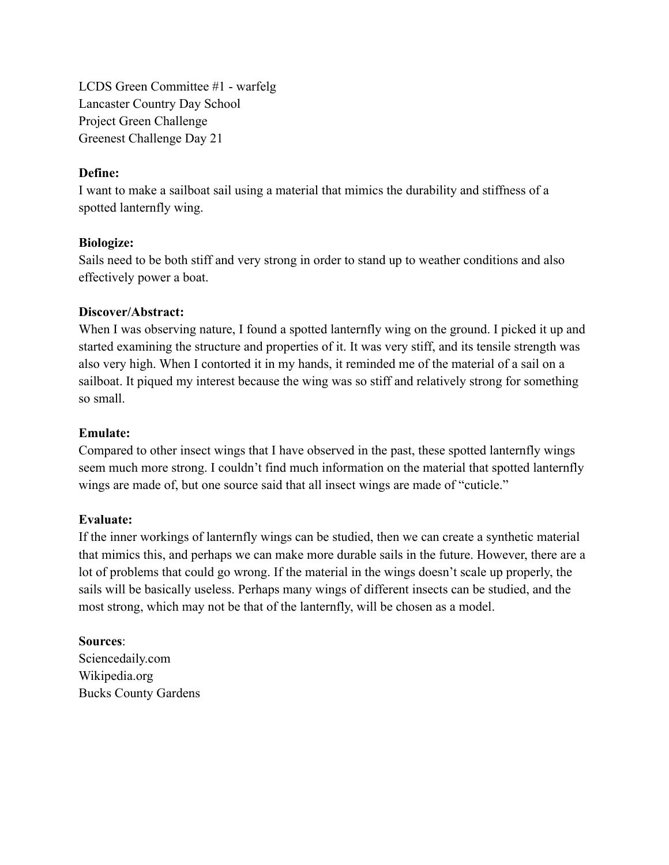LCDS Green Committee #1 - warfelg Lancaster Country Day School Project Green Challenge Greenest Challenge Day 21

#### **Define:**

I want to make a sailboat sail using a material that mimics the durability and stiffness of a spotted lanternfly wing.

### **Biologize:**

Sails need to be both stiff and very strong in order to stand up to weather conditions and also effectively power a boat.

#### **Discover/Abstract:**

When I was observing nature, I found a spotted lanternfly wing on the ground. I picked it up and started examining the structure and properties of it. It was very stiff, and its tensile strength was also very high. When I contorted it in my hands, it reminded me of the material of a sail on a sailboat. It piqued my interest because the wing was so stiff and relatively strong for something so small.

#### **Emulate:**

Compared to other insect wings that I have observed in the past, these spotted lanternfly wings seem much more strong. I couldn't find much information on the material that spotted lanternfly wings are made of, but one source said that all insect wings are made of "cuticle."

### **Evaluate:**

If the inner workings of lanternfly wings can be studied, then we can create a synthetic material that mimics this, and perhaps we can make more durable sails in the future. However, there are a lot of problems that could go wrong. If the material in the wings doesn't scale up properly, the sails will be basically useless. Perhaps many wings of different insects can be studied, and the most strong, which may not be that of the lanternfly, will be chosen as a model.

## **Sources**:

Sciencedaily.com Wikipedia.org Bucks County Gardens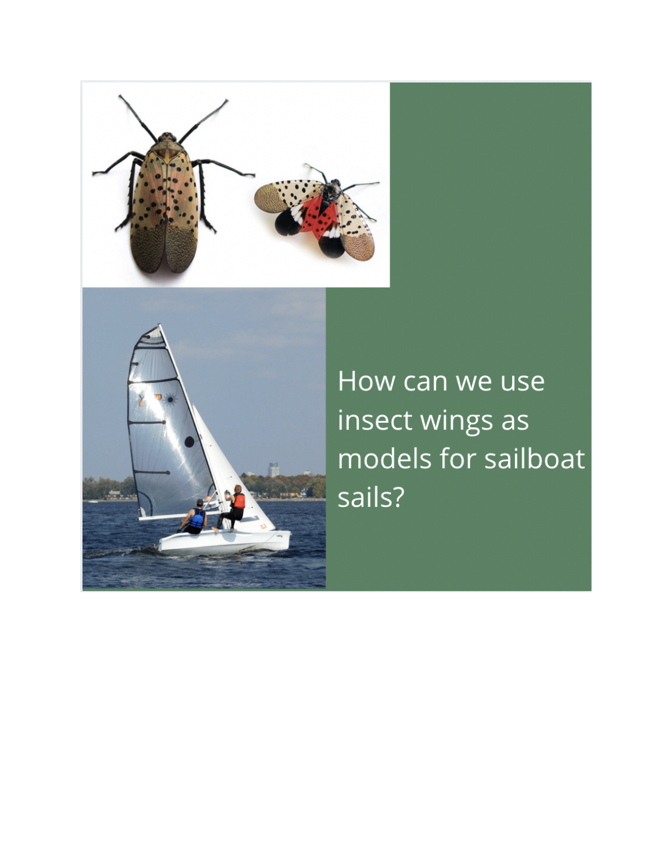



How can we use insect wings as models for sailboat sails?